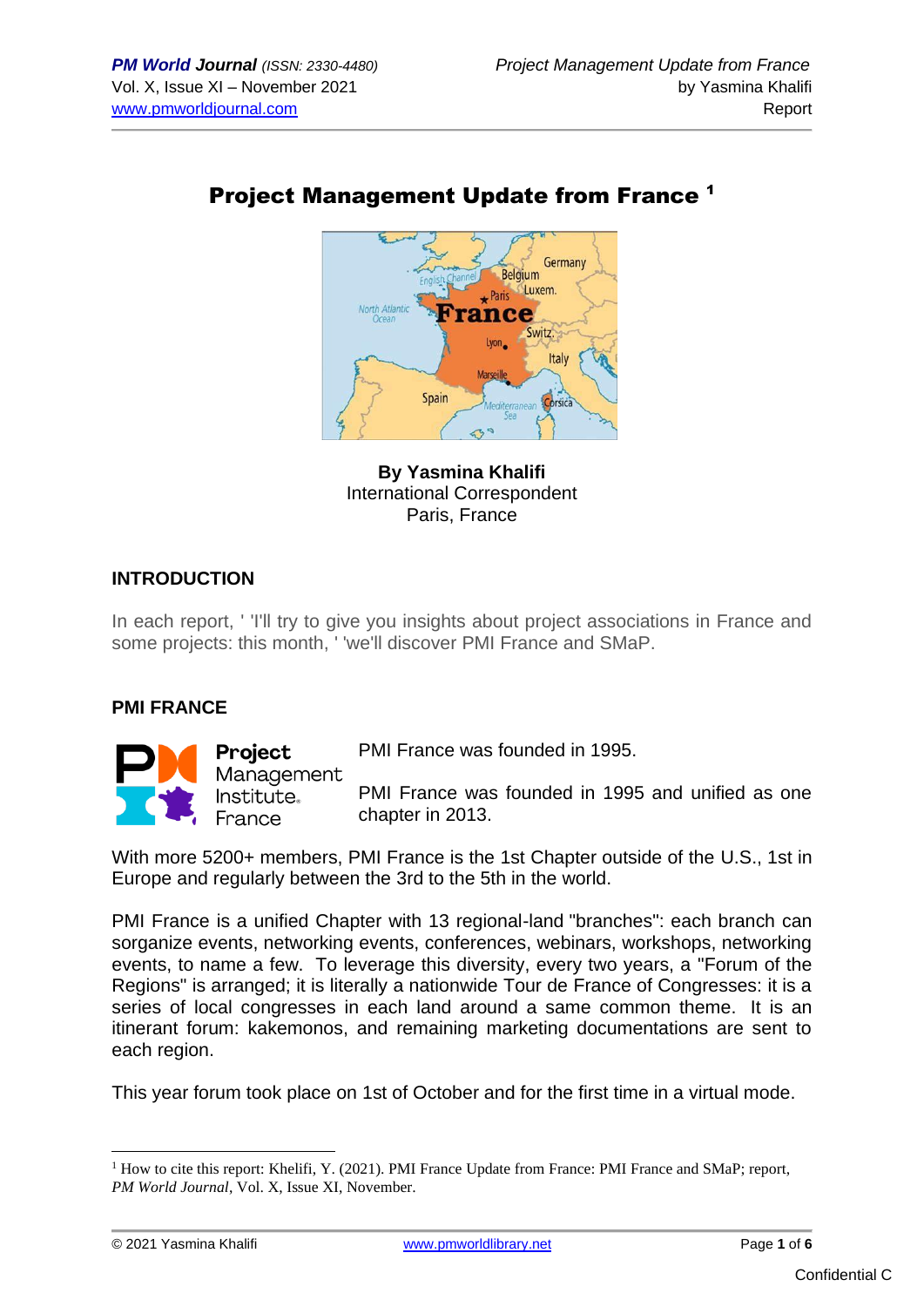# Project Management Update from France <sup>1</sup>



**By Yasmina Khalifi** International Correspondent Paris, France

### **INTRODUCTION**

In each report, ' 'I'll try to give you insights about project associations in France and some projects: this month, ' 'we'll discover PMI France and SMaP.

#### **PMI FRANCE**



**Project** Management Institute. France

PMI France was founded in 1995.

PMI France was founded in 1995 and unified as one chapter in 2013.

With more 5200+ members, PMI France is the 1st Chapter outside of the U.S., 1st in Europe and regularly between the 3rd to the 5th in the world.

PMI France is a unified Chapter with 13 regional-land "branches": each branch can sorganize events, networking events, conferences, webinars, workshops, networking events, to name a few. To leverage this diversity, every two years, a "Forum of the Regions" is arranged; it is literally a nationwide Tour de France of Congresses: it is a series of local congresses in each land around a same common theme. It is an itinerant forum: kakemonos, and remaining marketing documentations are sent to each region.

This year forum took place on 1st of October and for the first time in a virtual mode.

 $1$  How to cite this report: Khelifi, Y. (2021). PMI France Update from France: PMI France and SMaP; report, *PM World Journal*, Vol. X, Issue XI, November.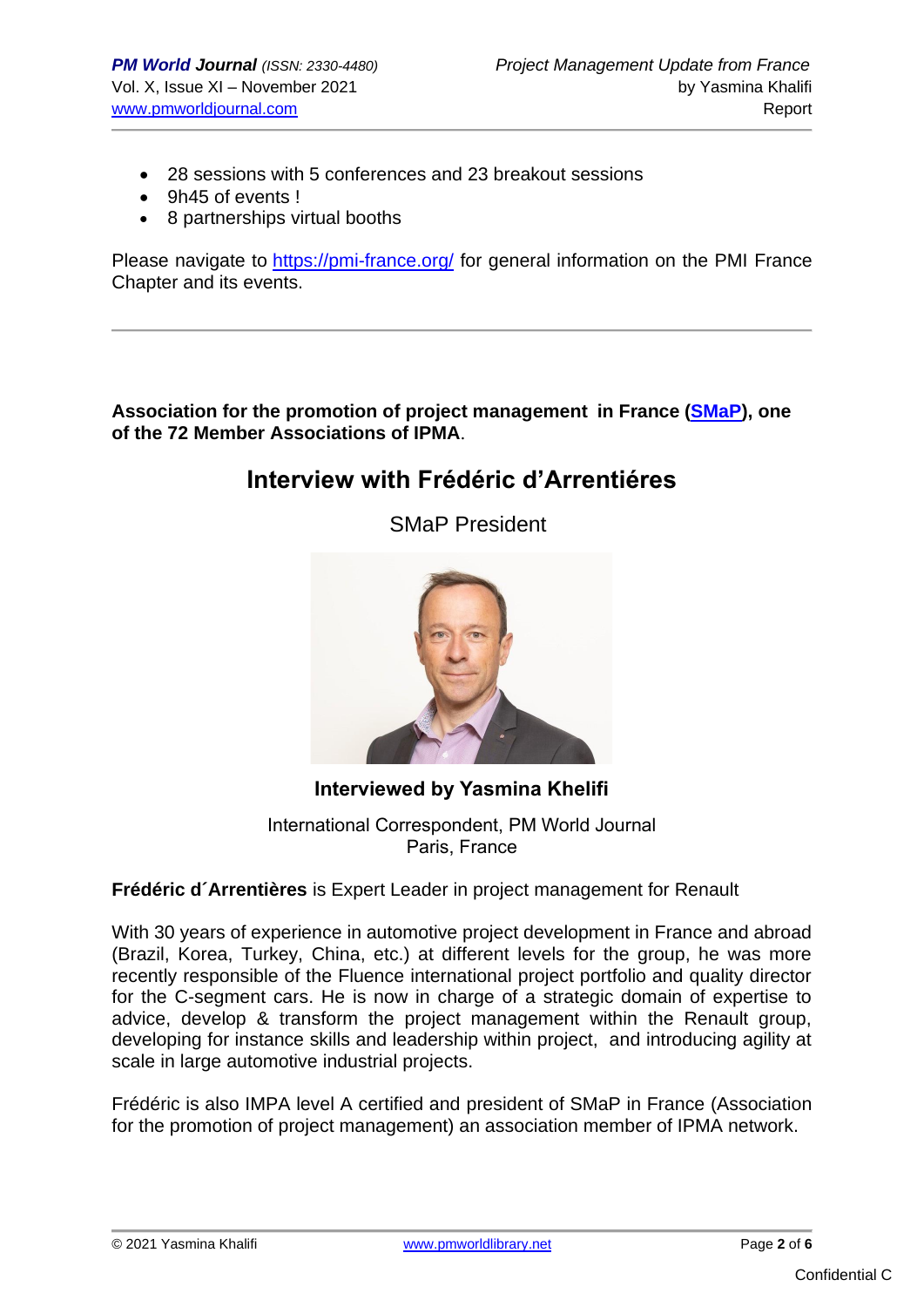- 28 sessions with 5 conferences and 23 breakout sessions
- 9h45 of events !
- 8 partnerships virtual booths

Please navigate to <https://pmi-france.org/> for general information on the PMI France Chapter and its events.

**Association for the promotion of project management in France [\(SMaP\)](https://www.smap-asso.eu/), one of the 72 Member Associations of IPMA**.

## **Interview with Frédéric d'Arrentiéres**

SMaP President



**Interviewed by Yasmina Khelifi**

International Correspondent, PM World Journal Paris, France

#### **Frédéric d´Arrentières** is Expert Leader in project management for Renault

With 30 years of experience in automotive project development in France and abroad (Brazil, Korea, Turkey, China, etc.) at different levels for the group, he was more recently responsible of the Fluence international project portfolio and quality director for the C-segment cars. He is now in charge of a strategic domain of expertise to advice, develop & transform the project management within the Renault group, developing for instance skills and leadership within project, and introducing agility at scale in large automotive industrial projects.

Frédéric is also IMPA level A certified and president of SMaP in France (Association for the promotion of project management) an association member of IPMA network.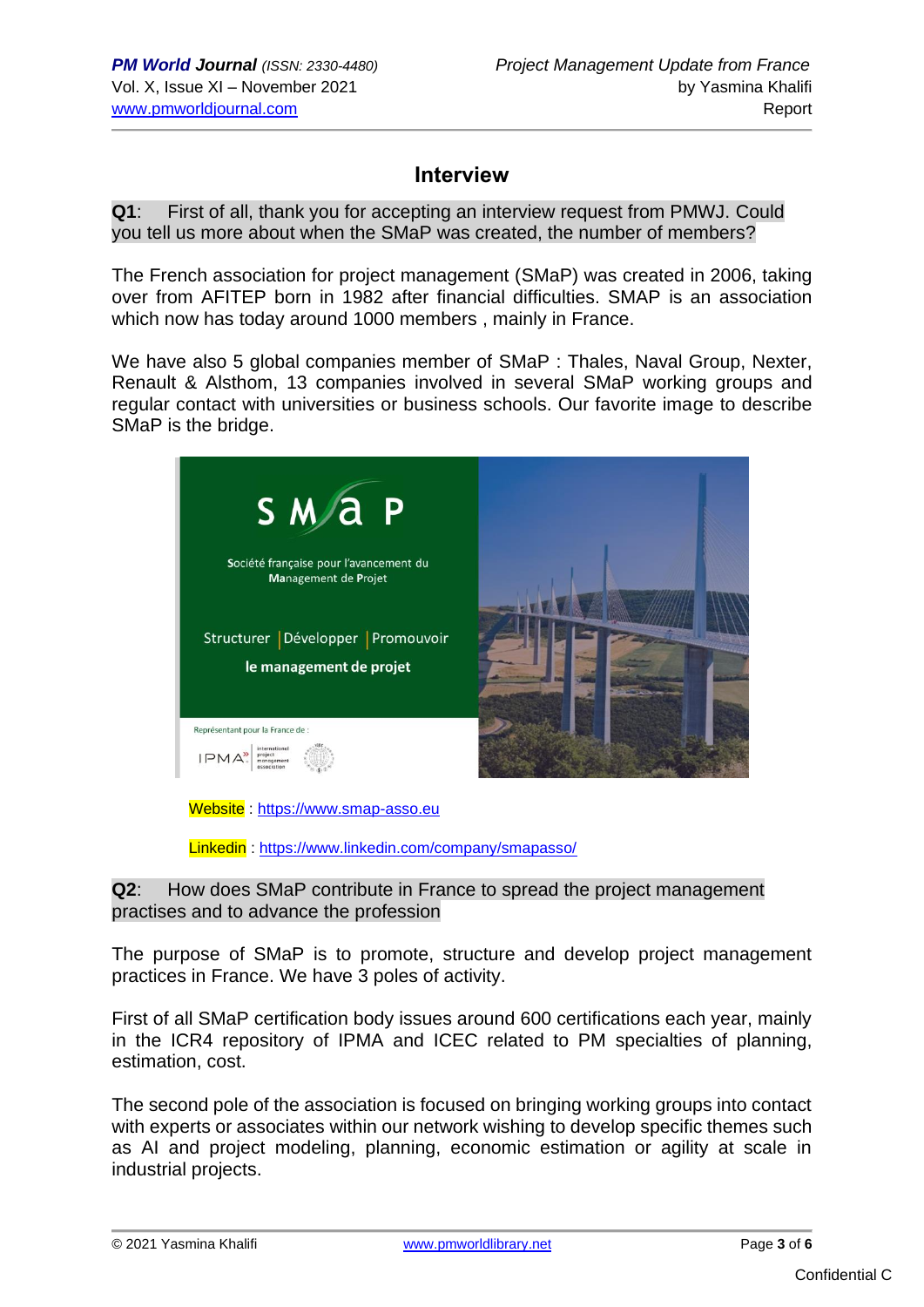## **Interview**

**Q1**: First of all, thank you for accepting an interview request from PMWJ. Could you tell us more about when the SMaP was created, the number of members?

The French association for project management (SMaP) was created in 2006, taking over from AFITEP born in 1982 after financial difficulties. SMAP is an association which now has today around 1000 members , mainly in France.

We have also 5 global companies member of SMaP : Thales, Naval Group, Nexter, Renault & Alsthom, 13 companies involved in several SMaP working groups and regular contact with universities or business schools. Our favorite image to describe SMaP is the bridge.



Linkedin :<https://www.linkedin.com/company/smapasso/>

**Q2**: How does SMaP contribute in France to spread the project management practises and to advance the profession

The purpose of SMaP is to promote, structure and develop project management practices in France. We have 3 poles of activity.

First of all SMaP certification body issues around 600 certifications each year, mainly in the ICR4 repository of IPMA and ICEC related to PM specialties of planning, estimation, cost.

The second pole of the association is focused on bringing working groups into contact with experts or associates within our network wishing to develop specific themes such as AI and project modeling, planning, economic estimation or agility at scale in industrial projects.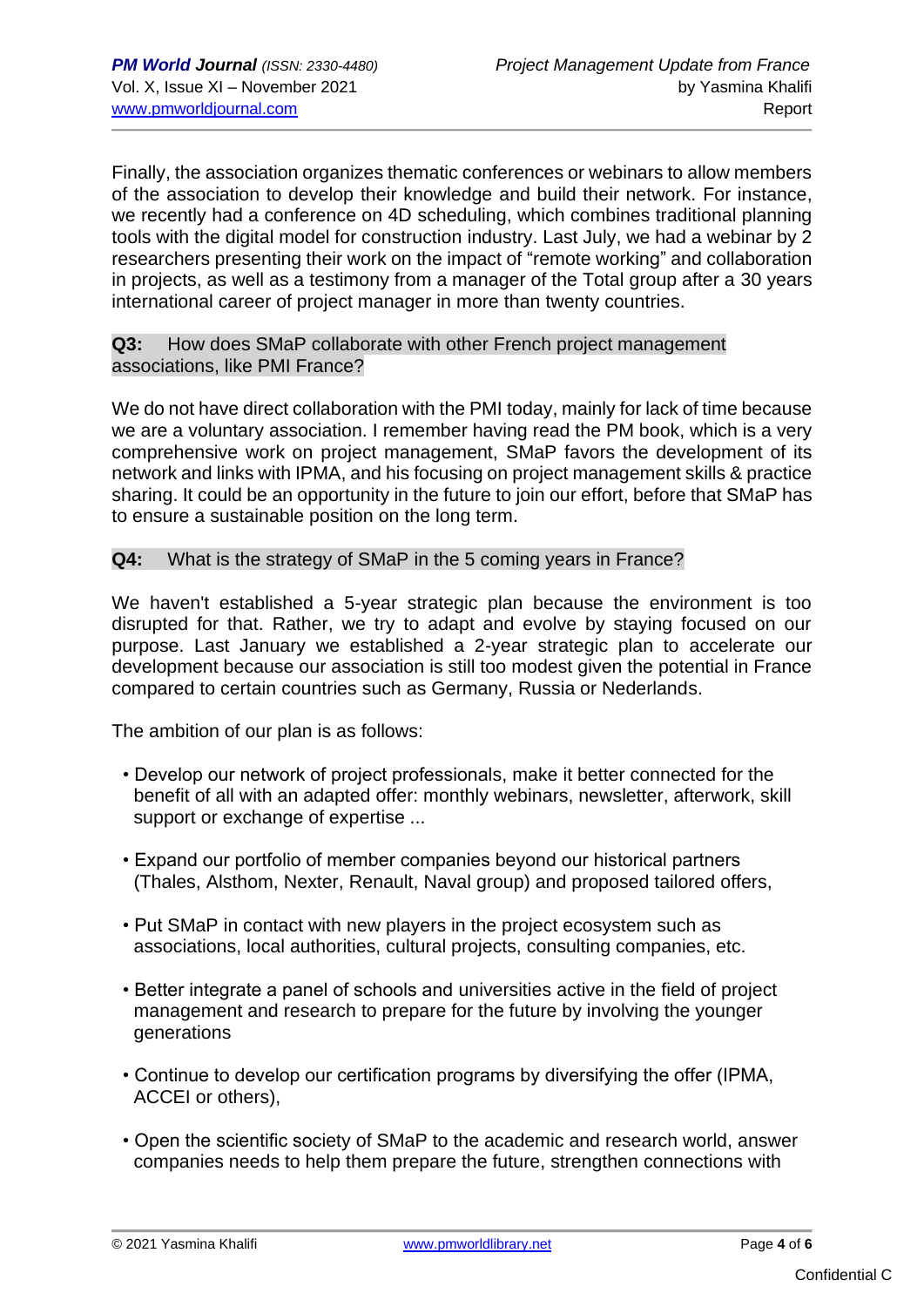Finally, the association organizes thematic conferences or webinars to allow members of the association to develop their knowledge and build their network. For instance, we recently had a conference on 4D scheduling, which combines traditional planning tools with the digital model for construction industry. Last July, we had a webinar by 2 researchers presenting their work on the impact of "remote working" and collaboration in projects, as well as a testimony from a manager of the Total group after a 30 years international career of project manager in more than twenty countries.

#### **Q3:** How does SMaP collaborate with other French project management associations, like PMI France?

We do not have direct collaboration with the PMI today, mainly for lack of time because we are a voluntary association. I remember having read the PM book, which is a very comprehensive work on project management, SMaP favors the development of its network and links with IPMA, and his focusing on project management skills & practice sharing. It could be an opportunity in the future to join our effort, before that SMaP has to ensure a sustainable position on the long term.

#### **Q4:** What is the strategy of SMaP in the 5 coming years in France?

We haven't established a 5-year strategic plan because the environment is too disrupted for that. Rather, we try to adapt and evolve by staying focused on our purpose. Last January we established a 2-year strategic plan to accelerate our development because our association is still too modest given the potential in France compared to certain countries such as Germany, Russia or Nederlands.

The ambition of our plan is as follows:

- Develop our network of project professionals, make it better connected for the benefit of all with an adapted offer: monthly webinars, newsletter, afterwork, skill support or exchange of expertise ...
- Expand our portfolio of member companies beyond our historical partners (Thales, Alsthom, Nexter, Renault, Naval group) and proposed tailored offers,
- Put SMaP in contact with new players in the project ecosystem such as associations, local authorities, cultural projects, consulting companies, etc.
- Better integrate a panel of schools and universities active in the field of project management and research to prepare for the future by involving the younger generations
- Continue to develop our certification programs by diversifying the offer (IPMA, ACCEI or others),
- Open the scientific society of SMaP to the academic and research world, answer companies needs to help them prepare the future, strengthen connections with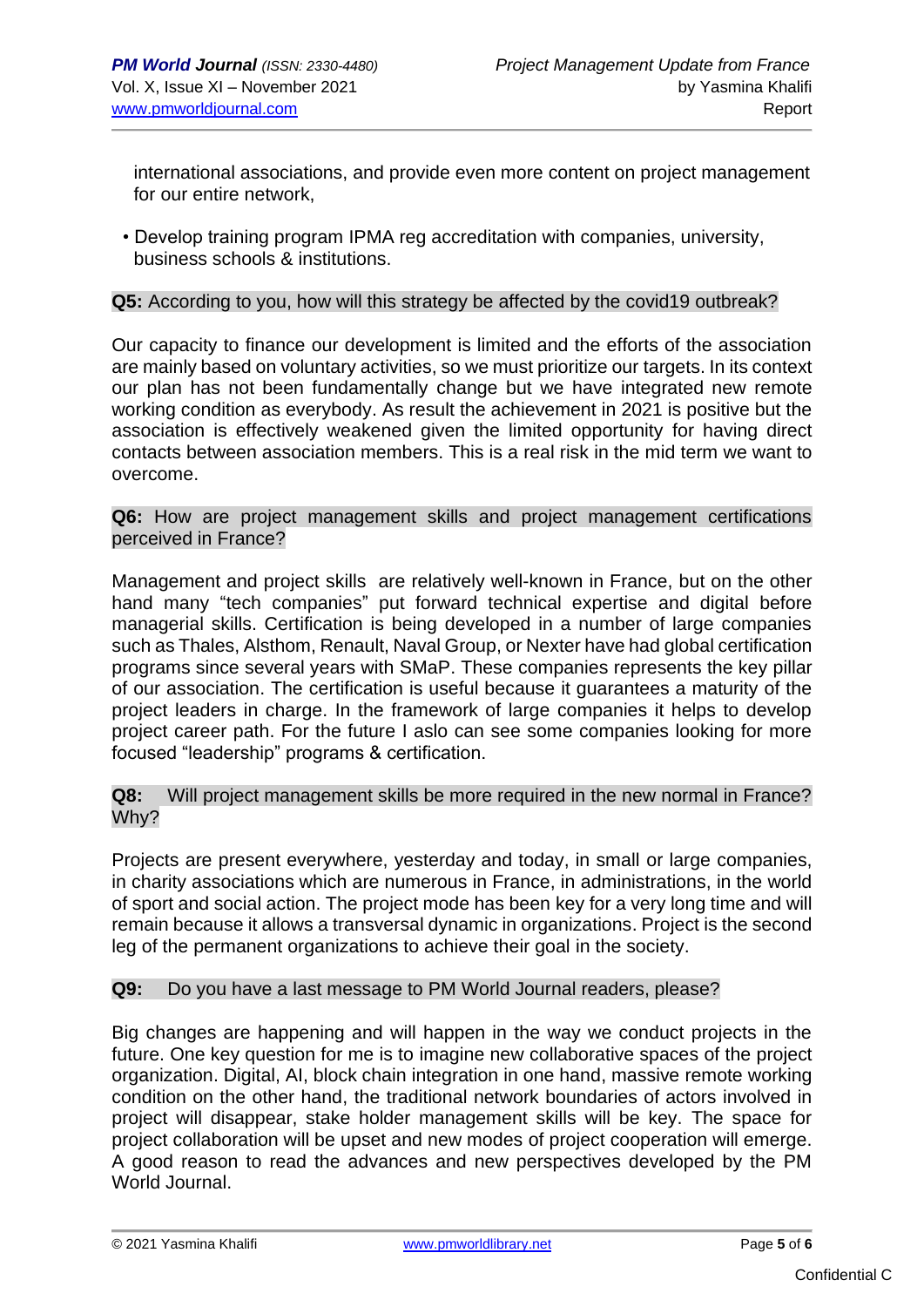international associations, and provide even more content on project management for our entire network,

• Develop training program IPMA reg accreditation with companies, university, business schools & institutions.

#### **Q5:** According to you, how will this strategy be affected by the covid19 outbreak?

Our capacity to finance our development is limited and the efforts of the association are mainly based on voluntary activities, so we must prioritize our targets. In its context our plan has not been fundamentally change but we have integrated new remote working condition as everybody. As result the achievement in 2021 is positive but the association is effectively weakened given the limited opportunity for having direct contacts between association members. This is a real risk in the mid term we want to overcome.

**Q6:** How are project management skills and project management certifications perceived in France?

Management and project skills are relatively well-known in France, but on the other hand many "tech companies" put forward technical expertise and digital before managerial skills. Certification is being developed in a number of large companies such as Thales, Alsthom, Renault, Naval Group, or Nexter have had global certification programs since several years with SMaP. These companies represents the key pillar of our association. The certification is useful because it guarantees a maturity of the project leaders in charge. In the framework of large companies it helps to develop project career path. For the future I aslo can see some companies looking for more focused "leadership" programs & certification.

#### **Q8:** Will project management skills be more required in the new normal in France? Why?

Projects are present everywhere, yesterday and today, in small or large companies, in charity associations which are numerous in France, in administrations, in the world of sport and social action. The project mode has been key for a very long time and will remain because it allows a transversal dynamic in organizations. Project is the second leg of the permanent organizations to achieve their goal in the society.

#### **Q9:** Do you have a last message to PM World Journal readers, please?

Big changes are happening and will happen in the way we conduct projects in the future. One key question for me is to imagine new collaborative spaces of the project organization. Digital, AI, block chain integration in one hand, massive remote working condition on the other hand, the traditional network boundaries of actors involved in project will disappear, stake holder management skills will be key. The space for project collaboration will be upset and new modes of project cooperation will emerge. A good reason to read the advances and new perspectives developed by the PM World Journal.